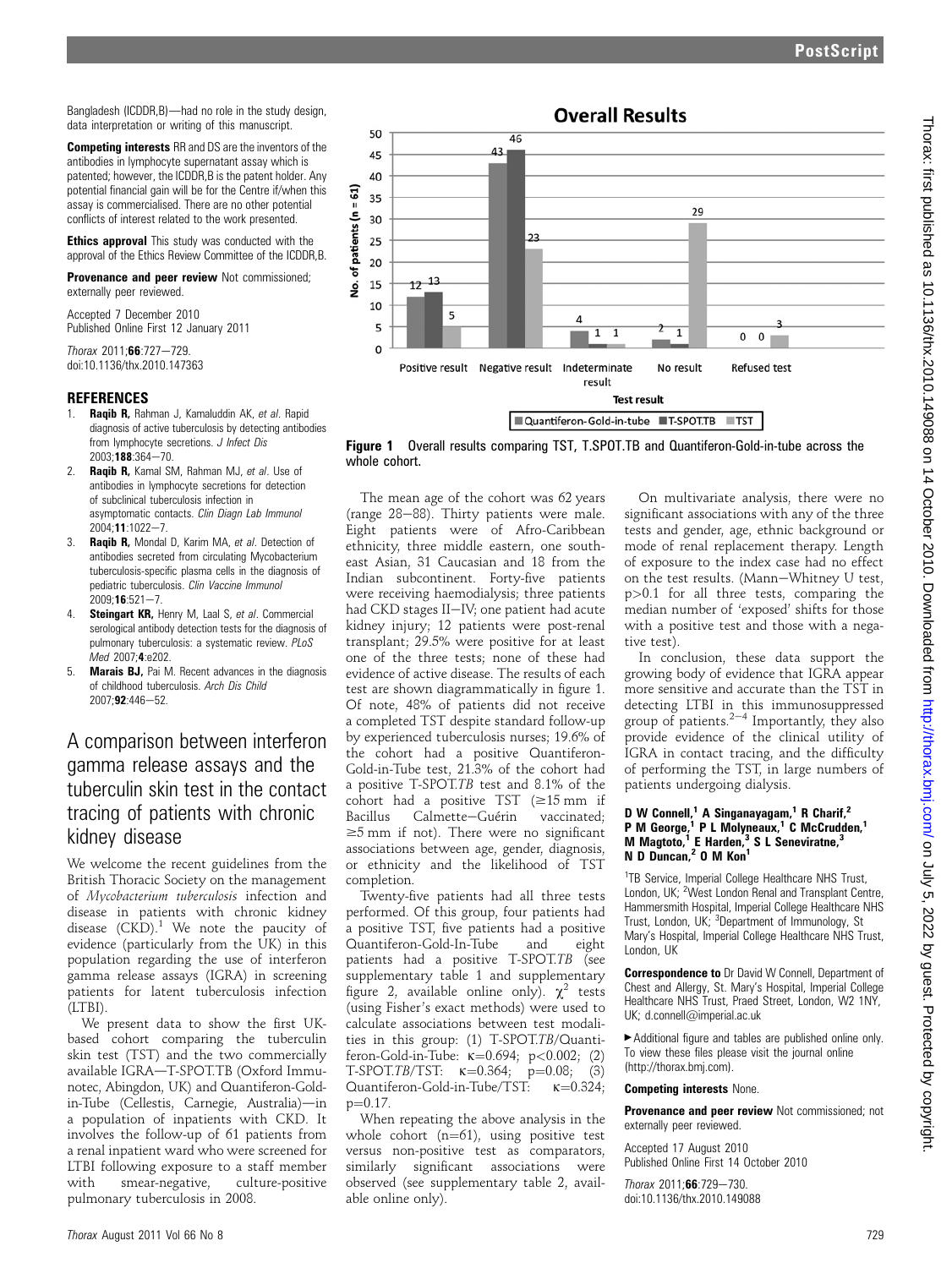Competing interests RR and DS are the inventors of the antibodies in lymphocyte supernatant assay which is patented; however, the ICDDR,B is the patent holder. Any potential financial gain will be for the Centre if/when this assay is commercialised. There are no other potential conflicts of interest related to the work presented.

**Ethics approval** This study was conducted with the approval of the Ethics Review Committee of the ICDDR,B.

Provenance and peer review Not commissioned; externally peer reviewed.

Accepted 7 December 2010 Published Online First 12 January 2011

Thorax 2011;66:727-729 doi:10.1136/thx.2010.147363

## **REFERENCES**

- Raqib R, Rahman J, Kamaluddin AK, et al. Rapid diagnosis of active tuberculosis by detecting antibodies from lymphocyte secretions. J Infect Dis  $2003:188:364 - 70.$
- 2. Raqib R, Kamal SM, Rahman MJ, et al. Use of antibodies in lymphocyte secretions for detection of subclinical tuberculosis infection in asymptomatic contacts. Clin Diagn Lab Immunol  $2004 \cdot 11 \cdot 1022 - 7$
- 3. Raqib R, Mondal D, Karim MA, et al. Detection of antibodies secreted from circulating Mycobacterium tuberculosis-specific plasma cells in the diagnosis of pediatric tuberculosis. Clin Vaccine Immunol  $2009:16:521 - 7$
- 4. **Steingart KR, Henry M, Laal S, et al. Commercial** serological antibody detection tests for the diagnosis of pulmonary tuberculosis: a systematic review. PLoS Med 2007;4:e202.
- 5. Marais BJ, Pai M. Recent advances in the diagnosis of childhood tuberculosis. Arch Dis Child  $2007.92.446 - 52.$

## A comparison between interferon gamma release assays and the tuberculin skin test in the contact tracing of patients with chronic kidney disease

We welcome the recent guidelines from the British Thoracic Society on the management of Mycobacterium tuberculosis infection and disease in patients with chronic kidney disease  $(CKD)^1$ . We note the paucity of evidence (particularly from the UK) in this population regarding the use of interferon gamma release assays (IGRA) in screening patients for latent tuberculosis infection (LTBI).

We present data to show the first UKbased cohort comparing the tuberculin skin test (TST) and the two commercially available IGRA-T-SPOT.TB (Oxford Immunotec, Abingdon, UK) and Quantiferon-Goldin-Tube (Cellestis, Carnegie, Australia)-in a population of inpatients with CKD. It involves the follow-up of 61 patients from a renal inpatient ward who were screened for LTBI following exposure to a staff member with smear-negative, culture-positive pulmonary tuberculosis in 2008.



Figure 1 Overall results comparing TST, T.SPOT.TB and Quantiferon-Gold-in-tube across the whole cohort.

The mean age of the cohort was 62 years (range  $28-88$ ). Thirty patients were male. Eight patients were of Afro-Caribbean ethnicity, three middle eastern, one southeast Asian, 31 Caucasian and 18 from the Indian subcontinent. Forty-five patients were receiving haemodialysis; three patients had CKD stages II-IV; one patient had acute kidney injury; 12 patients were post-renal transplant; 29.5% were positive for at least one of the three tests; none of these had evidence of active disease. The results of each test are shown diagrammatically in figure 1. Of note, 48% of patients did not receive a completed TST despite standard follow-up by experienced tuberculosis nurses; 19.6% of the cohort had a positive Quantiferon-Gold-in-Tube test, 21.3% of the cohort had a positive T-SPOT.TB test and 8.1% of the cohort had a positive TST ( $\geq 15$  mm if<br>Bacillus Calmette–Guérin vaccinated: Calmette-Guérin  $\geq$ 5 mm if not). There were no significant associations between age, gender, diagnosis, or ethnicity and the likelihood of TST completion.

Twenty-five patients had all three tests performed. Of this group, four patients had a positive TST, five patients had a positive Quantiferon-Gold-In-Tube and eight patients had a positive T-SPOT.TB (see supplementary table 1 and supplementary figure 2, available online only).  $\chi^2$  tests (using Fisher's exact methods) were used to calculate associations between test modalities in this group: (1) T-SPOT.TB/Quanti-<br>feron-Gold-in-Tube:  $\kappa$ =0.694; p<0.002; (2) feron-Gold-in-Tube: <sup>k</sup>¼0.694; p<0.002; (2)  $T$ -SPOT. $TB/TST:$   $\kappa$ =0.364;  $p$ =0.08; (3)<br>Quantiferon-Cold-in-Tube/TST:  $\kappa$  –0.324; Quantiferon-Gold-in-Tube/TST:  $\kappa=0.324$ ;  $p=0.17$ .

When repeating the above analysis in the whole cohort  $(n=61)$ , using positive test versus non-positive test as comparators,<br>similarly significant associations were significant associations observed (see supplementary table 2, available online only).

On multivariate analysis, there were no significant associations with any of the three tests and gender, age, ethnic background or mode of renal replacement therapy. Length of exposure to the index case had no effect on the test results. (Mann-Whitney U test, p>0.1 for all three tests, comparing the median number of 'exposed' shifts for those with a positive test and those with a negative test).

In conclusion, these data support the growing body of evidence that IGRA appear more sensitive and accurate than the TST in detecting LTBI in this immunosuppressed group of patients. $2^{-4}$  Importantly, they also provide evidence of the clinical utility of IGRA in contact tracing, and the difficulty of performing the TST, in large numbers of patients undergoing dialysis.

#### D W Connell,<sup>1</sup> A Singanayagam,<sup>1</sup> R Charif,<sup>2</sup> P M George,<sup>1</sup> P L Molyneaux,<sup>1</sup> C McCrudden,<sup>1</sup> M Magtoto,<sup>1</sup> E Harden,<sup>3</sup> S L Seneviratne,<sup>3</sup> N D Duncan,<sup>2</sup> O M Kon<sup>1</sup>

<sup>1</sup>TB Service, Imperial College Healthcare NHS Trust, London, UK; <sup>2</sup>West London Renal and Transplant Centre, Hammersmith Hospital, Imperial College Healthcare NHS Trust, London, UK; <sup>3</sup>Department of Immunology, St Mary's Hospital, Imperial College Healthcare NHS Trust, London, UK

Correspondence to Dr David W Connell, Department of Chest and Allergy, St. Mary's Hospital, Imperial College Healthcare NHS Trust, Praed Street, London, W2 1NY, UK; d.connell@imperial.ac.uk

 $\blacktriangleright$  Additional figure and tables are published online only. To view these files please visit the journal online (http://thorax.bmj.com).

## Competing interests None.

Provenance and peer review Not commissioned; not externally peer reviewed.

Accepted 17 August 2010 Published Online First 14 October 2010

 $Thorax 2011:66:729-730$ doi:10.1136/thx.2010.149088